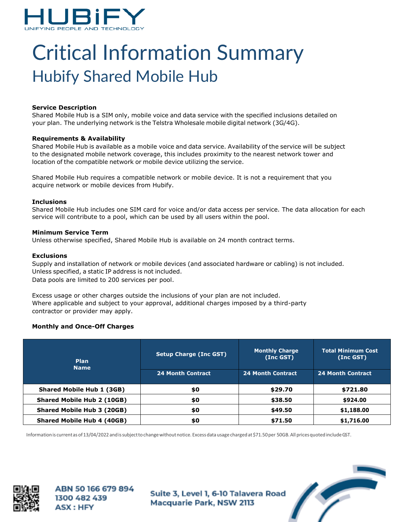

# Critical Information Summary Hubify Shared Mobile Hub

#### **Service Description**

Shared Mobile Hub is a SIM only, mobile voice and data service with the specified inclusions detailed on your plan. The underlying network is the Telstra Wholesale mobile digital network (3G/4G).

# **Requirements & Availability**

Shared Mobile Hub is available as a mobile voice and data service. Availability of the service will be subject to the designated mobile network coverage, this includes proximity to the nearest network tower and location of the compatible network or mobile device utilizing the service.

Shared Mobile Hub requires a compatible network or mobile device. It is not a requirement that you acquire network or mobile devices from Hubify.

#### **Inclusions**

Shared Mobile Hub includes one SIM card for voice and/or data access per service. The data allocation for each service will contribute to a pool, which can be used by all users within the pool.

#### **Minimum Service Term**

Unless otherwise specified, Shared Mobile Hub is available on 24 month contract terms.

#### **Exclusions**

Supply and installation of network or mobile devices (and associated hardware or cabling) is not included. Unless specified, a static IP address is not included. Data pools are limited to 200 services per pool.

Excess usage or other charges outside the inclusions of your plan are not included. Where applicable and subject to your approval, additional charges imposed by a third-party contractor or provider may apply.

#### **Monthly and Once-Off Charges**

| <b>Plan</b><br><b>Name</b>        | <b>Setup Charge (Inc GST)</b><br>24 Month Contract | <b>Monthly Charge</b><br>(Inc GST)<br><b>24 Month Contract</b> | <b>Total Minimum Cost</b><br>(Inc GST)<br><b>24 Month Contract</b> |
|-----------------------------------|----------------------------------------------------|----------------------------------------------------------------|--------------------------------------------------------------------|
| <b>Shared Mobile Hub 1 (3GB)</b>  | \$0                                                | \$29.70                                                        | \$721.80                                                           |
| <b>Shared Mobile Hub 2 (10GB)</b> | \$0                                                | \$38.50                                                        | \$924.00                                                           |
| <b>Shared Mobile Hub 3 (20GB)</b> | \$0                                                | \$49.50                                                        | \$1,188.00                                                         |
| <b>Shared Mobile Hub 4 (40GB)</b> | \$0                                                | \$71.50                                                        | \$1,716.00                                                         |

Informationis currentasof 13/04/2022 andissubjecttochangewithoutnotice. Excessdatausagechargedat\$71.50per 50GB.All pricesquoted includeGST.



ABN 50 166 679 894 1300 482 439 **ASX: HFY** 

Suite 3, Level 1, 6-10 Talavera Road **Macquarie Park, NSW 2113**